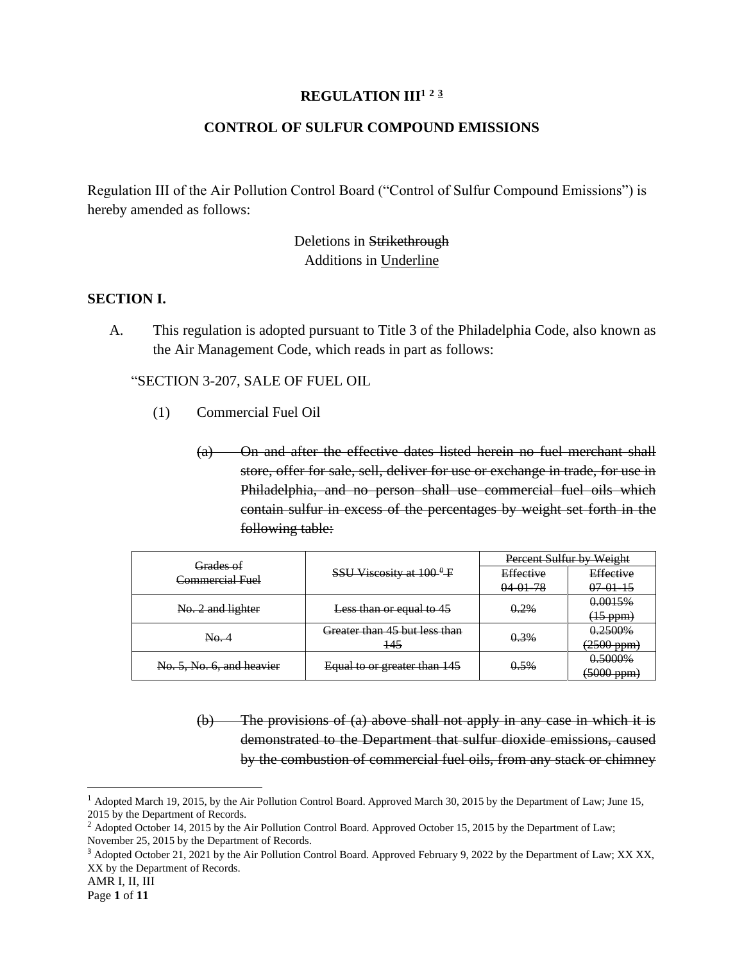### **REGULATION III<sup>1</sup> <sup>2</sup> <sup>3</sup>**

## **CONTROL OF SULFUR COMPOUND EMISSIONS**

Regulation III of the Air Pollution Control Board ("Control of Sulfur Compound Emissions") is hereby amended as follows:

> Deletions in Strikethrough Additions in Underline

#### **SECTION I.**

A. This regulation is adopted pursuant to Title 3 of the Philadelphia Code, also known as the Air Management Code, which reads in part as follows:

"SECTION 3-207, SALE OF FUEL OIL

- (1) Commercial Fuel Oil
	- (a) On and after the effective dates listed herein no fuel merchant shall store, offer for sale, sell, deliver for use or exchange in trade, for use in Philadelphia, and no person shall use commercial fuel oils which contain sulfur in excess of the percentages by weight set forth in the following table:

| Grades of<br>Commercial Fuel | SSU Viscosity at $100^9$ F    | Percent Sulfur by Weight |                    |
|------------------------------|-------------------------------|--------------------------|--------------------|
|                              |                               | Effective                | Effective          |
|                              |                               | $04.01 - 78$             | $07.01 - 15$       |
| No. 2 and lighter            | Less than or equal to 45      | 0.2%                     | 0.0015%            |
|                              |                               |                          | $(15 \text{ ppm})$ |
| No. 4                        | Greater than 45 but less than | 0.3%                     | 0.2500%            |
|                              | 145                           |                          | $(2500$ ppm $)$    |
| No. 5, No. 6, and heavier    | Equal to or greater than 145  | $0.5\%$                  | 0.5000%            |
|                              |                               |                          | $(5000$ ppm $)$    |

(b) The provisions of (a) above shall not apply in any case in which it is demonstrated to the Department that sulfur dioxide emissions, caused by the combustion of commercial fuel oils, from any stack or chimney

<sup>&</sup>lt;sup>1</sup> Adopted March 19, 2015, by the Air Pollution Control Board. Approved March 30, 2015 by the Department of Law; June 15, 2015 by the Department of Records.

<sup>&</sup>lt;sup>2</sup> Adopted October 14, 2015 by the Air Pollution Control Board. Approved October 15, 2015 by the Department of Law; November 25, 2015 by the Department of Records.

<sup>&</sup>lt;sup>3</sup> Adopted October 21, 2021 by the Air Pollution Control Board. Approved February 9, 2022 by the Department of Law; XX XX, XX by the Department of Records.

AMR I, II, III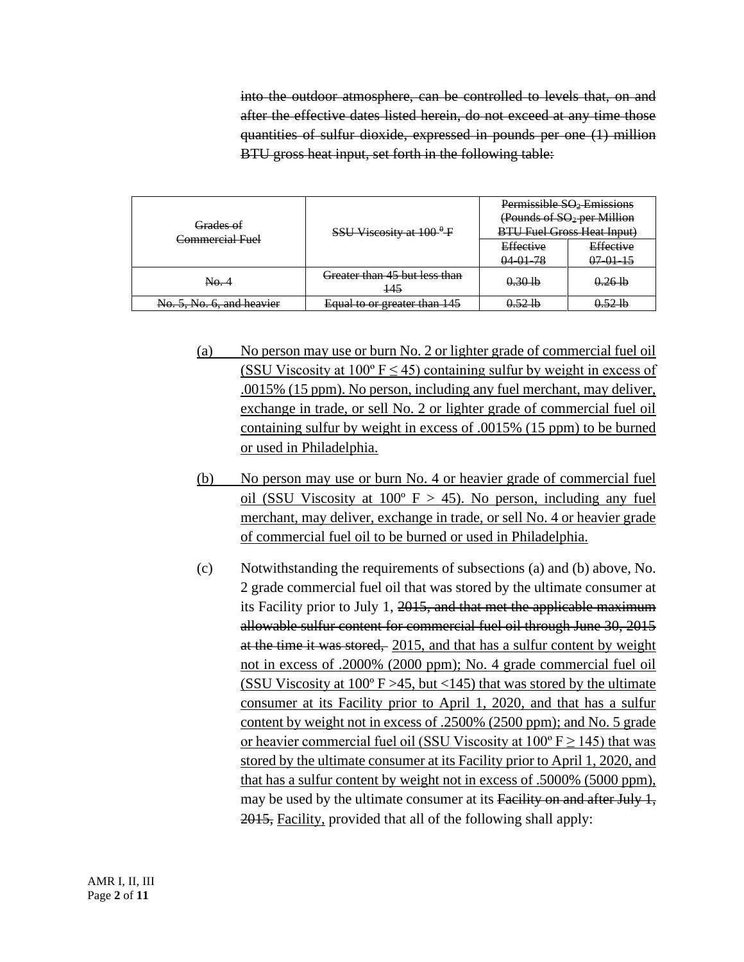into the outdoor atmosphere, can be controlled to levels that, on and after the effective dates listed herein, do not exceed at any time those quantities of sulfur dioxide, expressed in pounds per one (1) million BTU gross heat input, set forth in the following table:

| <del>Grades of</del><br><del>Commercial Fuel</del> | SSU Viscosity at $100^9$ F                      | Permissible SO <sub>2</sub> Emissions<br>(Pounds of $SO_2$ per Million<br><b>BTU Fuel Gross Heat Input)</b> |                             |
|----------------------------------------------------|-------------------------------------------------|-------------------------------------------------------------------------------------------------------------|-----------------------------|
|                                                    |                                                 | Effective<br>$04-01-78$                                                                                     | Effective<br>$07 - 01 - 15$ |
| No.4                                               | <del>Greater than 45 but less than</del><br>145 | $0.30$ lb                                                                                                   | $0.26$ lb                   |
| No. 5. No. 6. and heavier                          | Equal to or greater than 145                    | 0.521b                                                                                                      | $0.52$ lb                   |

- (a) No person may use or burn No. 2 or lighter grade of commercial fuel oil (SSU Viscosity at  $100^{\circ}$  F  $\leq$  45) containing sulfur by weight in excess of .0015% (15 ppm). No person, including any fuel merchant, may deliver, exchange in trade, or sell No. 2 or lighter grade of commercial fuel oil containing sulfur by weight in excess of .0015% (15 ppm) to be burned or used in Philadelphia.
- (b) No person may use or burn No. 4 or heavier grade of commercial fuel oil (SSU Viscosity at  $100^{\circ}$  F > 45). No person, including any fuel merchant, may deliver, exchange in trade, or sell No. 4 or heavier grade of commercial fuel oil to be burned or used in Philadelphia.
- (c) Notwithstanding the requirements of subsections (a) and (b) above, No. 2 grade commercial fuel oil that was stored by the ultimate consumer at its Facility prior to July 1, 2015, and that met the applicable maximum allowable sulfur content for commercial fuel oil through June 30, 2015 at the time it was stored, 2015, and that has a sulfur content by weight not in excess of .2000% (2000 ppm); No. 4 grade commercial fuel oil (SSU Viscosity at  $100^{\circ}$  F > 45, but <145) that was stored by the ultimate consumer at its Facility prior to April 1, 2020, and that has a sulfur content by weight not in excess of .2500% (2500 ppm); and No. 5 grade or heavier commercial fuel oil (SSU Viscosity at  $100^{\circ}$  F  $\geq$  145) that was stored by the ultimate consumer at its Facility prior to April 1, 2020, and that has a sulfur content by weight not in excess of .5000% (5000 ppm), may be used by the ultimate consumer at its Facility on and after July 1, 2015, Facility, provided that all of the following shall apply: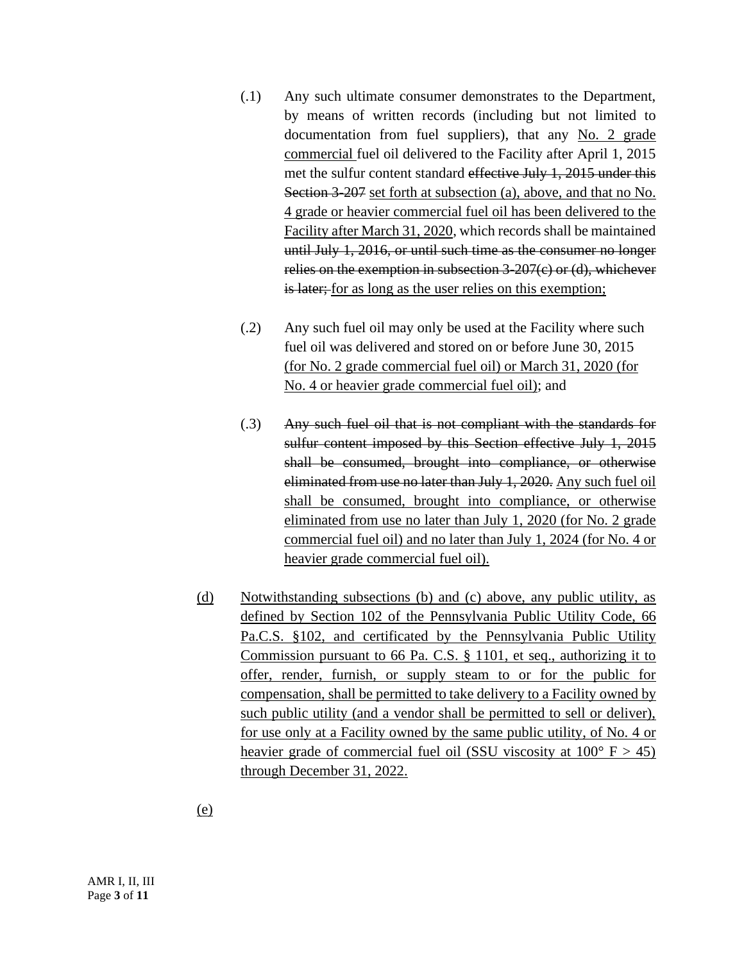- (.1) Any such ultimate consumer demonstrates to the Department, by means of written records (including but not limited to documentation from fuel suppliers), that any No. 2 grade commercial fuel oil delivered to the Facility after April 1, 2015 met the sulfur content standard effective July 1, 2015 under this Section 3-207 set forth at subsection (a), above, and that no No. 4 grade or heavier commercial fuel oil has been delivered to the Facility after March 31, 2020, which records shall be maintained until July 1, 2016, or until such time as the consumer no longer relies on the exemption in subsection 3-207(c) or (d), whichever is later; for as long as the user relies on this exemption;
- (.2) Any such fuel oil may only be used at the Facility where such fuel oil was delivered and stored on or before June 30, 2015 (for No. 2 grade commercial fuel oil) or March 31, 2020 (for No. 4 or heavier grade commercial fuel oil); and
- (.3) Any such fuel oil that is not compliant with the standards for sulfur content imposed by this Section effective July 1, 2015 shall be consumed, brought into compliance, or otherwise eliminated from use no later than July 1, 2020. Any such fuel oil shall be consumed, brought into compliance, or otherwise eliminated from use no later than July 1, 2020 (for No. 2 grade commercial fuel oil) and no later than July 1, 2024 (for No. 4 or heavier grade commercial fuel oil).
- (d) Notwithstanding subsections (b) and (c) above, any public utility, as defined by Section 102 of the Pennsylvania Public Utility Code, 66 Pa.C.S. §102, and certificated by the Pennsylvania Public Utility Commission pursuant to 66 Pa. C.S. § 1101, et seq., authorizing it to offer, render, furnish, or supply steam to or for the public for compensation, shall be permitted to take delivery to a Facility owned by such public utility (and a vendor shall be permitted to sell or deliver), for use only at a Facility owned by the same public utility, of No. 4 or heavier grade of commercial fuel oil (SSU viscosity at  $100^{\circ}$  F  $> 45$ ) through December 31, 2022.

(e)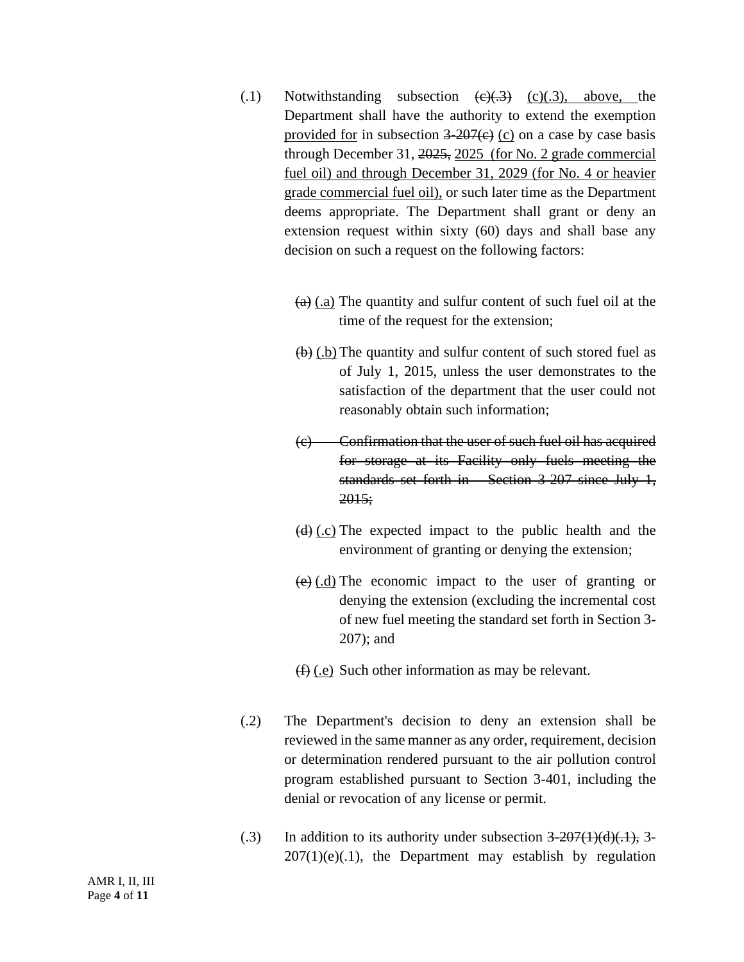- (.1) Notwithstanding subsection  $\left(\frac{e}{x-3}\right)$  (c)(.3), above, the Department shall have the authority to extend the exemption provided for in subsection  $3-207(e)$  (c) on a case by case basis through December 31, 2025, 2025 (for No. 2 grade commercial fuel oil) and through December 31, 2029 (for No. 4 or heavier grade commercial fuel oil), or such later time as the Department deems appropriate. The Department shall grant or deny an extension request within sixty (60) days and shall base any decision on such a request on the following factors:
	- $(a)$  (.a) The quantity and sulfur content of such fuel oil at the time of the request for the extension;
	- $\left(\frac{b}{c}\right)$  (.b) The quantity and sulfur content of such stored fuel as of July 1, 2015, unless the user demonstrates to the satisfaction of the department that the user could not reasonably obtain such information;
	- (c) Confirmation that the user of such fuel oil has acquired for storage at its Facility only fuels meeting the standards set forth in Section 3-207 since July 1, 2015;
	- $(d)$  (.c) The expected impact to the public health and the environment of granting or denying the extension;
	- $(e)$  (d) The economic impact to the user of granting or denying the extension (excluding the incremental cost of new fuel meeting the standard set forth in Section 3- 207); and
	- (f) (.e) Such other information as may be relevant.
- (.2) The Department's decision to deny an extension shall be reviewed in the same manner as any order, requirement, decision or determination rendered pursuant to the air pollution control program established pursuant to Section 3-401, including the denial or revocation of any license or permit.
- (.3) In addition to its authority under subsection  $3-207(1)(d)(.1)$ , 3- $207(1)(e)(.1)$ , the Department may establish by regulation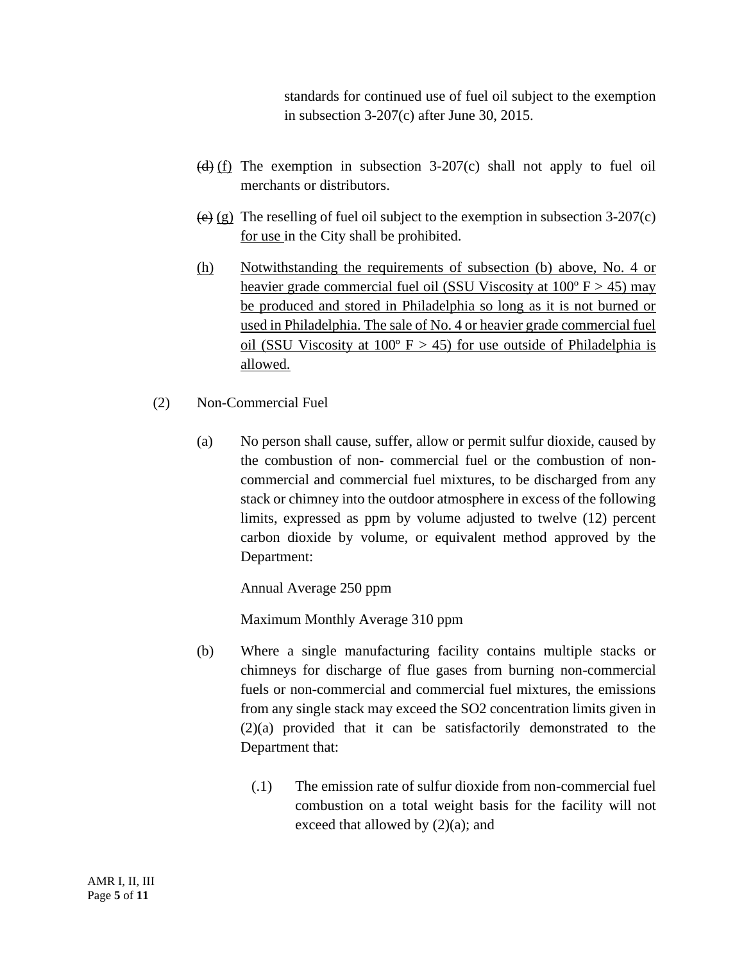standards for continued use of fuel oil subject to the exemption in subsection 3-207(c) after June 30, 2015.

- (d)  $(f)$  The exemption in subsection 3-207(c) shall not apply to fuel oil merchants or distributors.
- (e) (g) The reselling of fuel oil subject to the exemption in subsection  $3-207(c)$ for use in the City shall be prohibited.
- (h) Notwithstanding the requirements of subsection (b) above, No. 4 or heavier grade commercial fuel oil (SSU Viscosity at  $100^{\circ}$  F  $> 45$ ) may be produced and stored in Philadelphia so long as it is not burned or used in Philadelphia. The sale of No. 4 or heavier grade commercial fuel oil (SSU Viscosity at  $100^{\circ}$  F > 45) for use outside of Philadelphia is allowed.
- (2) Non-Commercial Fuel
	- (a) No person shall cause, suffer, allow or permit sulfur dioxide, caused by the combustion of non- commercial fuel or the combustion of noncommercial and commercial fuel mixtures, to be discharged from any stack or chimney into the outdoor atmosphere in excess of the following limits, expressed as ppm by volume adjusted to twelve (12) percent carbon dioxide by volume, or equivalent method approved by the Department:

Annual Average 250 ppm

Maximum Monthly Average 310 ppm

- (b) Where a single manufacturing facility contains multiple stacks or chimneys for discharge of flue gases from burning non-commercial fuels or non-commercial and commercial fuel mixtures, the emissions from any single stack may exceed the SO2 concentration limits given in (2)(a) provided that it can be satisfactorily demonstrated to the Department that:
	- (.1) The emission rate of sulfur dioxide from non-commercial fuel combustion on a total weight basis for the facility will not exceed that allowed by (2)(a); and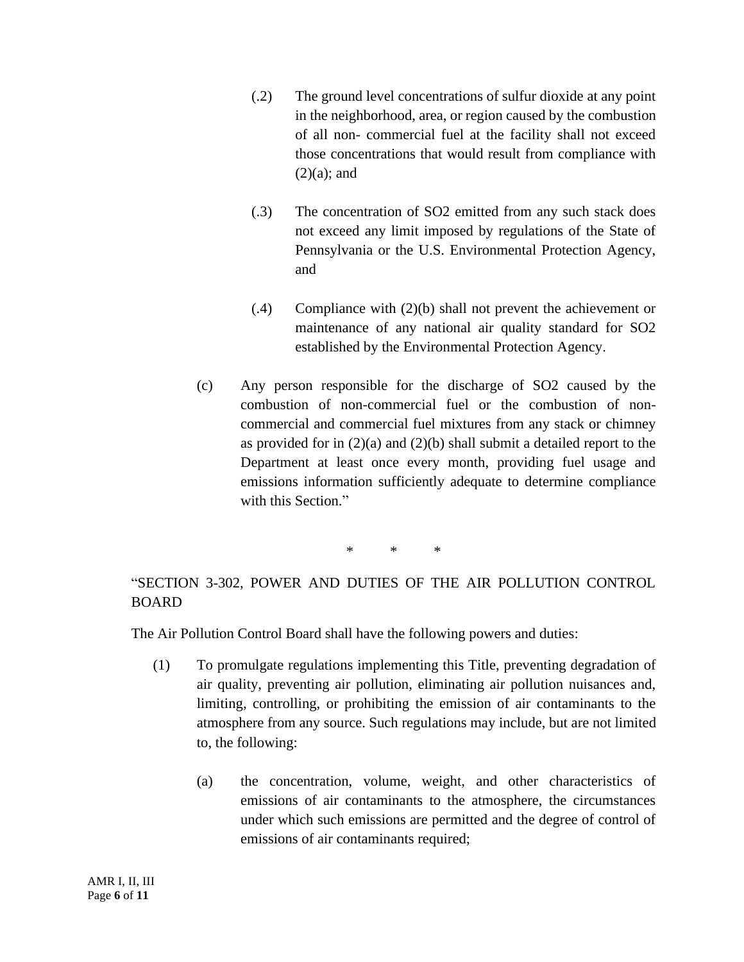- (.2) The ground level concentrations of sulfur dioxide at any point in the neighborhood, area, or region caused by the combustion of all non- commercial fuel at the facility shall not exceed those concentrations that would result from compliance with  $(2)(a)$ ; and
- (.3) The concentration of SO2 emitted from any such stack does not exceed any limit imposed by regulations of the State of Pennsylvania or the U.S. Environmental Protection Agency, and
- (.4) Compliance with (2)(b) shall not prevent the achievement or maintenance of any national air quality standard for SO2 established by the Environmental Protection Agency.
- (c) Any person responsible for the discharge of SO2 caused by the combustion of non-commercial fuel or the combustion of noncommercial and commercial fuel mixtures from any stack or chimney as provided for in  $(2)(a)$  and  $(2)(b)$  shall submit a detailed report to the Department at least once every month, providing fuel usage and emissions information sufficiently adequate to determine compliance with this Section."

\* \* \*

"SECTION 3-302, POWER AND DUTIES OF THE AIR POLLUTION CONTROL BOARD

The Air Pollution Control Board shall have the following powers and duties:

- (1) To promulgate regulations implementing this Title, preventing degradation of air quality, preventing air pollution, eliminating air pollution nuisances and, limiting, controlling, or prohibiting the emission of air contaminants to the atmosphere from any source. Such regulations may include, but are not limited to, the following:
	- (a) the concentration, volume, weight, and other characteristics of emissions of air contaminants to the atmosphere, the circumstances under which such emissions are permitted and the degree of control of emissions of air contaminants required;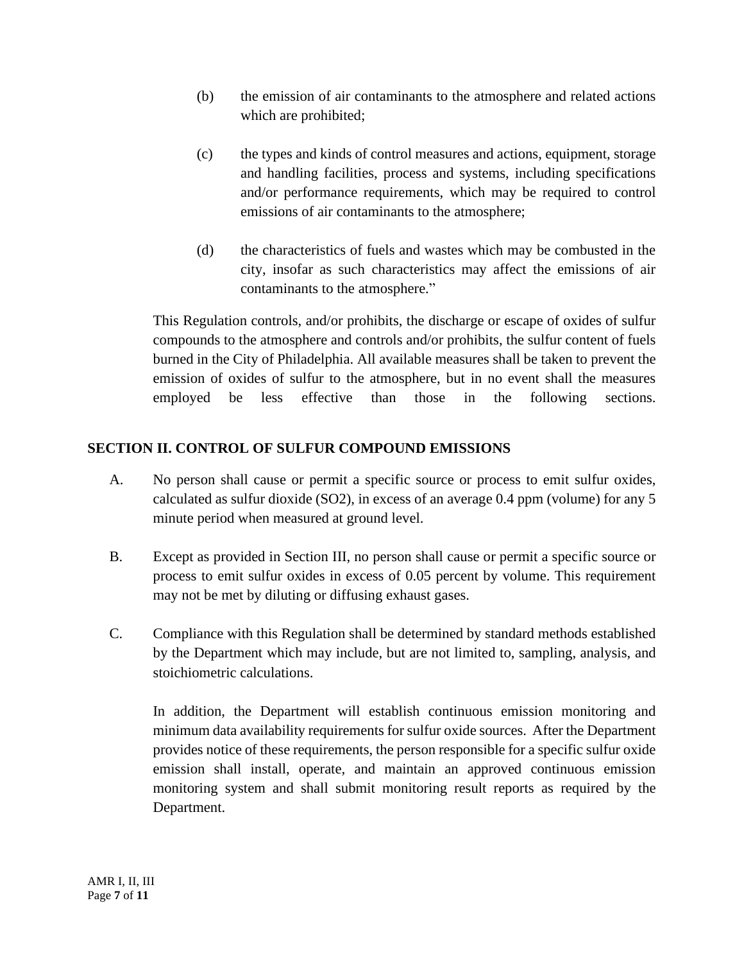- (b) the emission of air contaminants to the atmosphere and related actions which are prohibited;
- (c) the types and kinds of control measures and actions, equipment, storage and handling facilities, process and systems, including specifications and/or performance requirements, which may be required to control emissions of air contaminants to the atmosphere;
- (d) the characteristics of fuels and wastes which may be combusted in the city, insofar as such characteristics may affect the emissions of air contaminants to the atmosphere."

This Regulation controls, and/or prohibits, the discharge or escape of oxides of sulfur compounds to the atmosphere and controls and/or prohibits, the sulfur content of fuels burned in the City of Philadelphia. All available measures shall be taken to prevent the emission of oxides of sulfur to the atmosphere, but in no event shall the measures employed be less effective than those in the following sections.

# **SECTION II. CONTROL OF SULFUR COMPOUND EMISSIONS**

- A. No person shall cause or permit a specific source or process to emit sulfur oxides, calculated as sulfur dioxide (SO2), in excess of an average 0.4 ppm (volume) for any 5 minute period when measured at ground level.
- B. Except as provided in Section III, no person shall cause or permit a specific source or process to emit sulfur oxides in excess of 0.05 percent by volume. This requirement may not be met by diluting or diffusing exhaust gases.
- C. Compliance with this Regulation shall be determined by standard methods established by the Department which may include, but are not limited to, sampling, analysis, and stoichiometric calculations.

In addition, the Department will establish continuous emission monitoring and minimum data availability requirements for sulfur oxide sources. After the Department provides notice of these requirements, the person responsible for a specific sulfur oxide emission shall install, operate, and maintain an approved continuous emission monitoring system and shall submit monitoring result reports as required by the Department.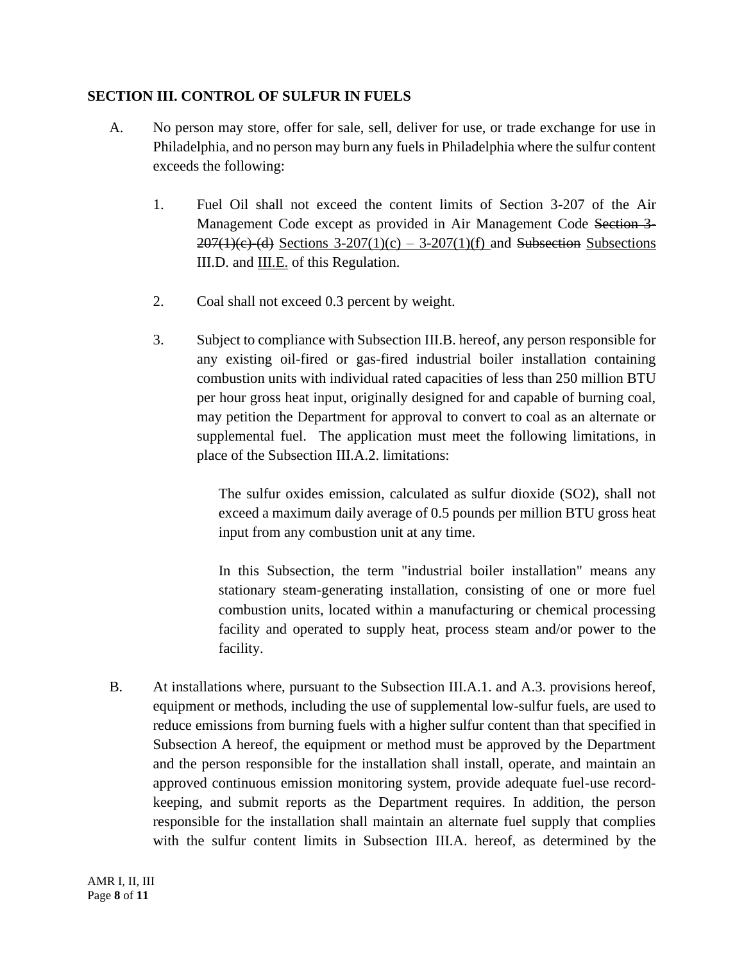## **SECTION III. CONTROL OF SULFUR IN FUELS**

- A. No person may store, offer for sale, sell, deliver for use, or trade exchange for use in Philadelphia, and no person may burn any fuels in Philadelphia where the sulfur content exceeds the following:
	- 1. Fuel Oil shall not exceed the content limits of Section 3-207 of the Air Management Code except as provided in Air Management Code Section 3-  $207(1)(e)$  (d) Sections 3-207(1)(c) – 3-207(1)(f) and Subsection Subsections III.D. and III.E. of this Regulation.
	- 2. Coal shall not exceed 0.3 percent by weight.
	- 3. Subject to compliance with Subsection III.B. hereof, any person responsible for any existing oil-fired or gas-fired industrial boiler installation containing combustion units with individual rated capacities of less than 250 million BTU per hour gross heat input, originally designed for and capable of burning coal, may petition the Department for approval to convert to coal as an alternate or supplemental fuel. The application must meet the following limitations, in place of the Subsection III.A.2. limitations:

The sulfur oxides emission, calculated as sulfur dioxide (SO2), shall not exceed a maximum daily average of 0.5 pounds per million BTU gross heat input from any combustion unit at any time.

In this Subsection, the term "industrial boiler installation" means any stationary steam-generating installation, consisting of one or more fuel combustion units, located within a manufacturing or chemical processing facility and operated to supply heat, process steam and/or power to the facility.

B. At installations where, pursuant to the Subsection III.A.1. and A.3. provisions hereof, equipment or methods, including the use of supplemental low-sulfur fuels, are used to reduce emissions from burning fuels with a higher sulfur content than that specified in Subsection A hereof, the equipment or method must be approved by the Department and the person responsible for the installation shall install, operate, and maintain an approved continuous emission monitoring system, provide adequate fuel-use recordkeeping, and submit reports as the Department requires. In addition, the person responsible for the installation shall maintain an alternate fuel supply that complies with the sulfur content limits in Subsection III.A. hereof, as determined by the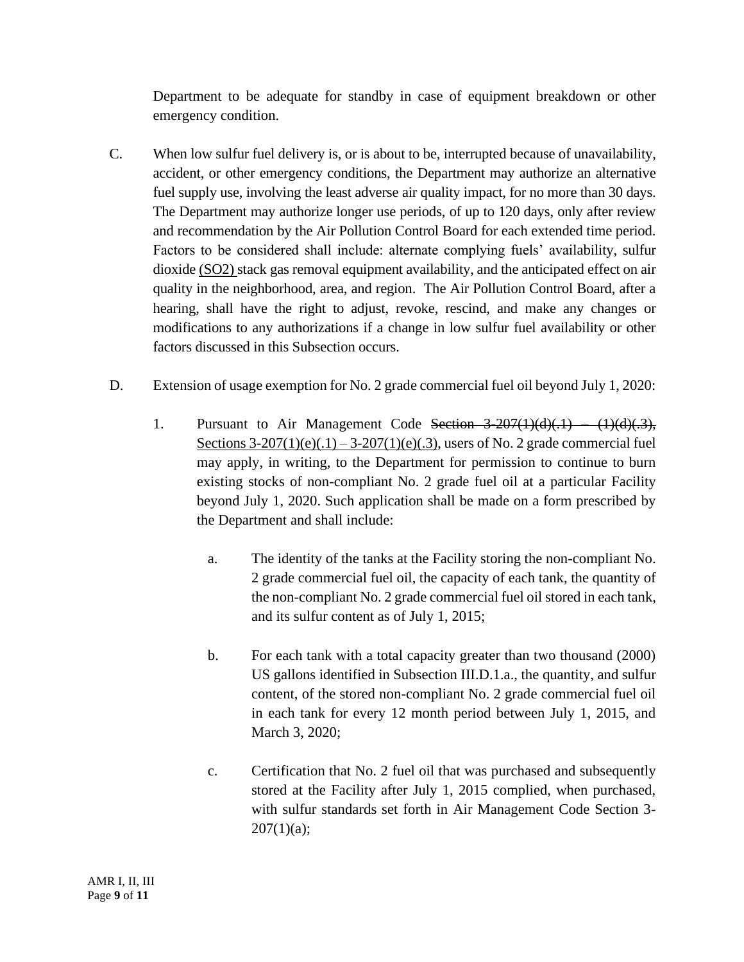Department to be adequate for standby in case of equipment breakdown or other emergency condition.

- C. When low sulfur fuel delivery is, or is about to be, interrupted because of unavailability, accident, or other emergency conditions, the Department may authorize an alternative fuel supply use, involving the least adverse air quality impact, for no more than 30 days. The Department may authorize longer use periods, of up to 120 days, only after review and recommendation by the Air Pollution Control Board for each extended time period. Factors to be considered shall include: alternate complying fuels' availability, sulfur dioxide (SO2) stack gas removal equipment availability, and the anticipated effect on air quality in the neighborhood, area, and region. The Air Pollution Control Board, after a hearing, shall have the right to adjust, revoke, rescind, and make any changes or modifications to any authorizations if a change in low sulfur fuel availability or other factors discussed in this Subsection occurs.
- D. Extension of usage exemption for No. 2 grade commercial fuel oil beyond July 1, 2020:
	- 1. Pursuant to Air Management Code Section  $3-207(1)(d)(.1)$  (1)(d)(.3), Sections  $3-207(1)(e)(.1) - 3-207(1)(e)(.3)$ , users of No. 2 grade commercial fuel may apply, in writing, to the Department for permission to continue to burn existing stocks of non-compliant No. 2 grade fuel oil at a particular Facility beyond July 1, 2020. Such application shall be made on a form prescribed by the Department and shall include:
		- a. The identity of the tanks at the Facility storing the non-compliant No. 2 grade commercial fuel oil, the capacity of each tank, the quantity of the non-compliant No. 2 grade commercial fuel oil stored in each tank, and its sulfur content as of July 1, 2015;
		- b. For each tank with a total capacity greater than two thousand (2000) US gallons identified in Subsection III.D.1.a., the quantity, and sulfur content, of the stored non-compliant No. 2 grade commercial fuel oil in each tank for every 12 month period between July 1, 2015, and March 3, 2020;
		- c. Certification that No. 2 fuel oil that was purchased and subsequently stored at the Facility after July 1, 2015 complied, when purchased, with sulfur standards set forth in Air Management Code Section 3-  $207(1)(a)$ ;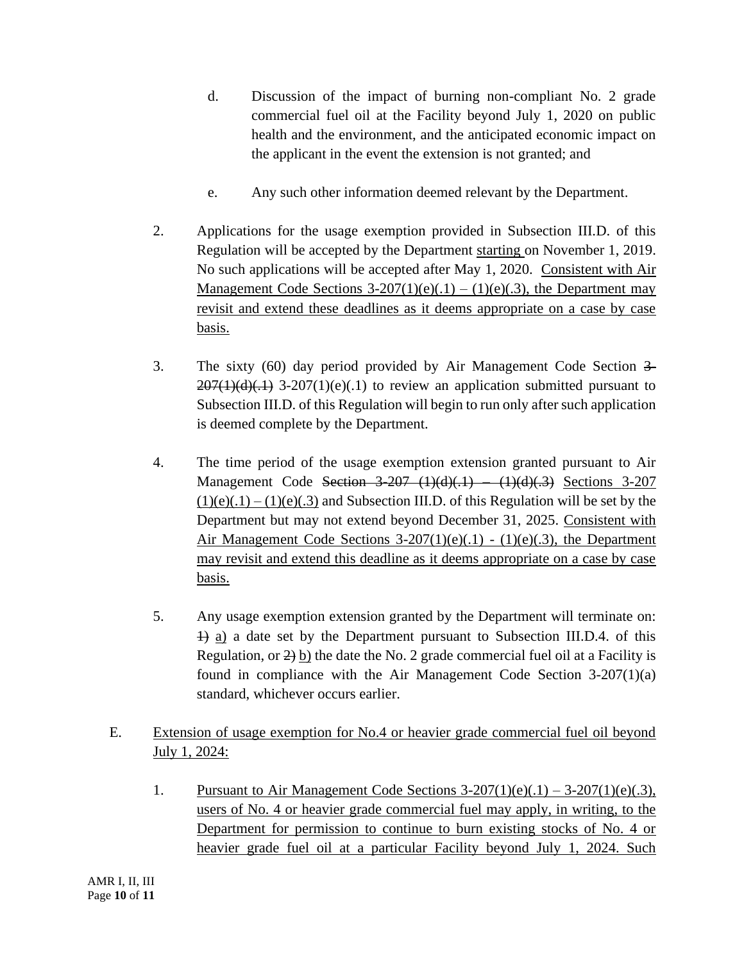- d. Discussion of the impact of burning non-compliant No. 2 grade commercial fuel oil at the Facility beyond July 1, 2020 on public health and the environment, and the anticipated economic impact on the applicant in the event the extension is not granted; and
- e. Any such other information deemed relevant by the Department.
- 2. Applications for the usage exemption provided in Subsection III.D. of this Regulation will be accepted by the Department starting on November 1, 2019. No such applications will be accepted after May 1, 2020. Consistent with Air Management Code Sections  $3-207(1)(e)(.1) - (1)(e)(.3)$ , the Department may revisit and extend these deadlines as it deems appropriate on a case by case basis.
- 3. The sixty (60) day period provided by Air Management Code Section 3-  $207(1)(d)(.1)$  3-207(1)(e)(.1) to review an application submitted pursuant to Subsection III.D. of this Regulation will begin to run only after such application is deemed complete by the Department.
- 4. The time period of the usage exemption extension granted pursuant to Air Management Code Section 3-207 (1)(d)(.1) – (1)(d)(.3) Sections 3-207  $(1)(e)(.1) - (1)(e)(.3)$  and Subsection III.D. of this Regulation will be set by the Department but may not extend beyond December 31, 2025. Consistent with Air Management Code Sections  $3-207(1)(e)(.1) - (1)(e)(.3)$ , the Department may revisit and extend this deadline as it deems appropriate on a case by case basis.
- 5. Any usage exemption extension granted by the Department will terminate on: 1) a) a date set by the Department pursuant to Subsection III.D.4. of this Regulation, or 2) b) the date the No. 2 grade commercial fuel oil at a Facility is found in compliance with the Air Management Code Section 3-207(1)(a) standard, whichever occurs earlier.
- E. Extension of usage exemption for No.4 or heavier grade commercial fuel oil beyond July 1, 2024:
	- 1. Pursuant to Air Management Code Sections  $3-207(1)(e)(.1) 3-207(1)(e)(.3)$ , users of No. 4 or heavier grade commercial fuel may apply, in writing, to the Department for permission to continue to burn existing stocks of No. 4 or heavier grade fuel oil at a particular Facility beyond July 1, 2024. Such